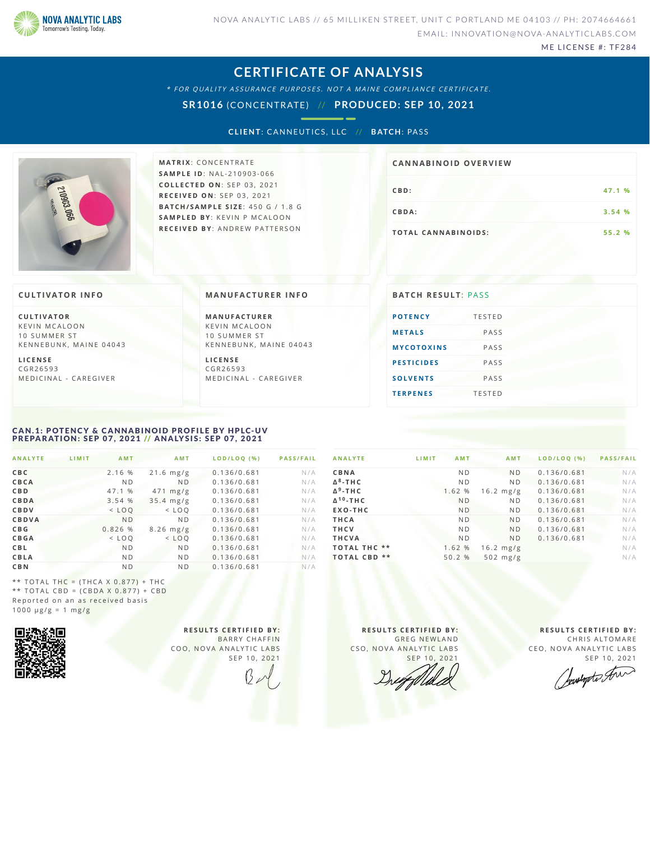

ME LICENSE #: TF284

### **CERTIFICATE OF ANALYSIS**

\* FOR QUALITY ASSURANCE PURPOSES. NOT A MAINE COMPLIANCE CERTIFICATE.

**SR1016** (CONCENTRATE) // **PRODUCED: SEP 10, 2021**

**CLIENT: CANNEUTICS, LLC // BATCH: PASS** 



**M AT R I X** :C O N C E N T R A T E **SA M P L E I D** :N A L - 2 1 0 9 0 3 - 0 6 6 **C O L L E C T E D O N** :S E P 0 3 ,2 0 2 1 **R E C E I V E D O N** : S E P 0 3 , 2 0 2 1 **BAT C H / SA M P L E S I Z E** : 4 5 0 G / 1 . 8 G **SA M P L E D BY** : K E V I N P M C A L O O N **R E C E I V E D BY** : A N D R E W P A T T E R S O N

# **CB D :4 7 . 1 % CB D A: 3 . 5 4 %**  $T$  **O TAL CANNABINOIDS:** 55.2 % **CA N N ABI N OID OVERVI EW**

### **CULTIVATOR I N FO**

**C U L T I VAT O R** K F V IN M CALOON 10 SUMMER ST KENNEBUNK, MAINE 04043

**L I C E N S E** C G R 2 6 5 9 3 M E D I C I N A L - CARE G I VER **MANUFACTURER INFO** 

**M A N U FAC T U R E R** K F V I N M C A L O O N 10 SUMMER ST KENNEBUNK, MAINE 04043

**L I C E N S E** C G R 2 6 5 9 3 M E D I C I N A L - CARE G I VER

| <b>BATCH RESULT: PASS</b> |               |
|---------------------------|---------------|
| <b>POTENCY</b>            | <b>TESTED</b> |
| <b>METALS</b>             | PASS          |
| <b>MYCOTOXINS</b>         | PASS          |
| <b>PESTICIDES</b>         | PASS          |
| <b>SOLVENTS</b>           | PASS          |
| <b>TERPENES</b>           | <b>TESTED</b> |
|                           |               |

### <span id="page-0-0"></span>CAN.1: POTENCY & CANNABINOID PROFILE BY HPLC-UV PREPARATION: SEP 07, 2021 // ANALYSIS: SEP 07, 2021

| <b>ANALYTE</b> | LIMIT | <b>AMT</b>     | AMT            | LOD/LOO (%) | <b>PASS/FAIL</b> |
|----------------|-------|----------------|----------------|-------------|------------------|
| CBC            |       | 2.16 %         | $21.6$ mg/g    | 0.136/0.681 | N/A              |
| CBCA           |       | N <sub>D</sub> | N <sub>D</sub> | 0.136/0.681 | N/A              |
| <b>CBD</b>     |       | 47.1 %         | $471$ mg/g     | 0.136/0.681 | N/A              |
| CBDA           |       | 3.54 %         | $35.4$ mg/g    | 0.136/0.681 | N/A              |
| CBDV           |       | $<$ LOO        | $<$ LOO        | 0.136/0.681 | N/A              |
| <b>CBDVA</b>   |       | N <sub>D</sub> | N <sub>D</sub> | 0.136/0.681 | N/A              |
| C B G          |       | 0.826%         | $8.26$ mg/g    | 0.136/0.681 | N/A              |
| <b>CBGA</b>    |       | $<$ LOO        | $<$ LOO        | 0.136/0.681 | N/A              |
| <b>CBL</b>     |       | N <sub>D</sub> | <b>ND</b>      | 0.136/0.681 | N/A              |
| CBLA           |       | N <sub>D</sub> | N <sub>D</sub> | 0.136/0.681 | N/A              |
| <b>CBN</b>     |       | N <sub>D</sub> | N <sub>D</sub> | 0.136/0.681 | N/A              |

| <b>ANALYTE</b>      | LIMIT<br><b>AMT</b> | <b>AMT</b>     | LOD/LOO (%) | <b>PASS/FAIL</b> |
|---------------------|---------------------|----------------|-------------|------------------|
| CBNA                | N <sub>D</sub>      | <b>ND</b>      | 0.136/0.681 | N/A              |
| $\Delta^8$ -THC     | N <sub>D</sub>      | N <sub>D</sub> | 0.136/0.681 | N/A              |
| $\Delta^9$ -THC     | 1.62 %              | $16.2$ mg/g    | 0.136/0.681 | N/A              |
| $\Delta^{10}$ -THC  | <b>ND</b>           | N <sub>D</sub> | 0.136/0.681 | N/A              |
| EXO-THC             | <b>ND</b>           | N <sub>D</sub> | 0.136/0.681 | N/A              |
| THCA                | N <sub>D</sub>      | <b>ND</b>      | 0.136/0.681 | N/A              |
| <b>THCV</b>         | N <sub>D</sub>      | <b>ND</b>      | 0.136/0.681 | N/A              |
| <b>THCVA</b>        | N <sub>D</sub>      | <b>ND</b>      | 0.136/0.681 | N/A              |
| <b>TOTAL THC **</b> | 1.62 %              | $16.2$ mg/g    |             | N/A              |
| $***$<br>TOTAL CBD  | 50.2 %              | $502$ mg/g     |             | N/A              |
|                     |                     |                |             |                  |

\*\* TOTAL THC =  $(THCA X 0.877) + THC$ \*\* TOTAL CBD =  $(CBDA X 0.877) + CBD$ Reported on an as received basis  $1000 \text{ }\mu\text{g/g} = 1 \text{ }\text{mg/g}$ 



**R E S U L T S C E R T I F I E D BY :** BARRY CHAFFIN COO, NOVA ANALYTIC LABS SEP 10, 2021

**R E S U L T S C E R T I F I E D BY :** GREG NEWLAND CSO, NOVA ANALYTIC LABS SEP 10, 2021

**R E S U L T S C E R T I F I E D BY :** CHRIS ALTOMARE CEO, NOVA ANALYTIC LABS

SEP 10, 2021